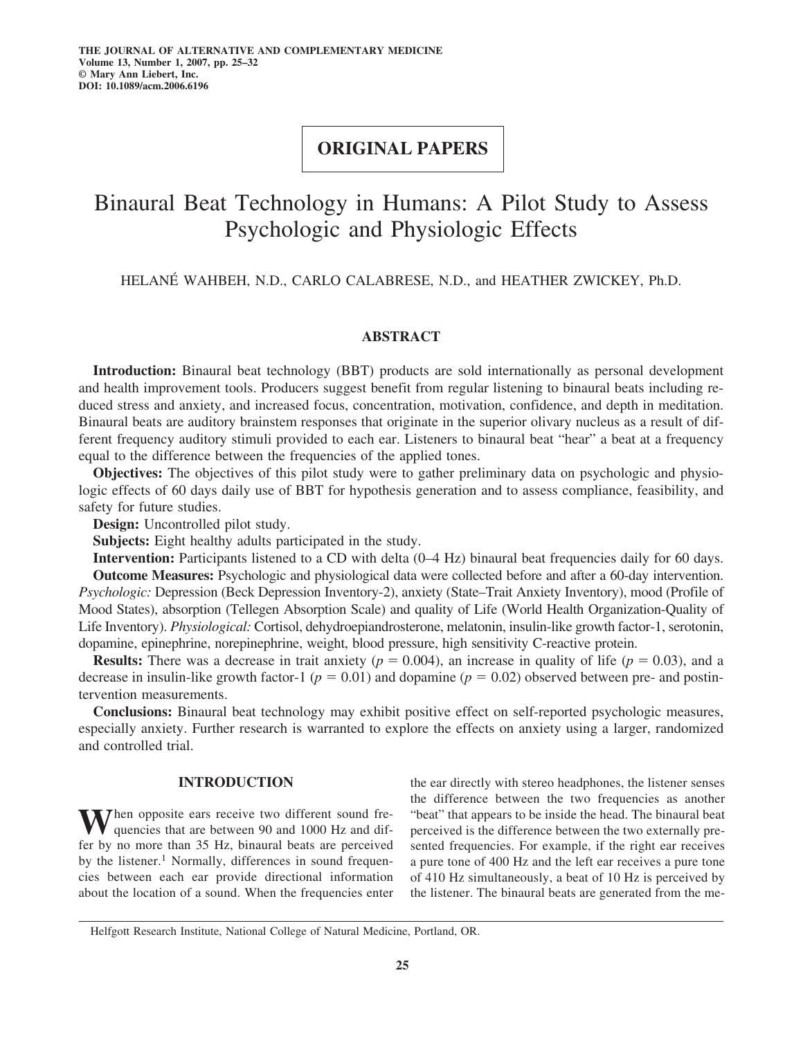# **ORIGINAL PAPERS**

# Binaural Beat Technology in Humans: A Pilot Study to Assess Psychologic and Physiologic Effects

HELANÉ WAHBEH, N.D., CARLO CALABRESE, N.D., and HEATHER ZWICKEY, Ph.D.

## **ABSTRACT**

**Introduction:** Binaural beat technology (BBT) products are sold internationally as personal development and health improvement tools. Producers suggest benefit from regular listening to binaural beats including reduced stress and anxiety, and increased focus, concentration, motivation, confidence, and depth in meditation. Binaural beats are auditory brainstem responses that originate in the superior olivary nucleus as a result of different frequency auditory stimuli provided to each ear. Listeners to binaural beat "hear" a beat at a frequency equal to the difference between the frequencies of the applied tones.

**Objectives:** The objectives of this pilot study were to gather preliminary data on psychologic and physiologic effects of 60 days daily use of BBT for hypothesis generation and to assess compliance, feasibility, and safety for future studies.

**Design:** Uncontrolled pilot study.

**Subjects:** Eight healthy adults participated in the study.

**Intervention:** Participants listened to a CD with delta (0–4 Hz) binaural beat frequencies daily for 60 days. **Outcome Measures:** Psychologic and physiological data were collected before and after a 60-day intervention. *Psychologic:* Depression (Beck Depression Inventory-2), anxiety (State–Trait Anxiety Inventory), mood (Profile of Mood States), absorption (Tellegen Absorption Scale) and quality of Life (World Health Organization-Quality of Life Inventory). *Physiological:* Cortisol, dehydroepiandrosterone, melatonin, insulin-like growth factor-1, serotonin, dopamine, epinephrine, norepinephrine, weight, blood pressure, high sensitivity C-reactive protein.

**Results:** There was a decrease in trait anxiety  $(p = 0.004)$ , an increase in quality of life  $(p = 0.03)$ , and a decrease in insulin-like growth factor-1 ( $p = 0.01$ ) and dopamine ( $p = 0.02$ ) observed between pre- and postintervention measurements.

**Conclusions:** Binaural beat technology may exhibit positive effect on self-reported psychologic measures, especially anxiety. Further research is warranted to explore the effects on anxiety using a larger, randomized and controlled trial.

## **INTRODUCTION**

When opposite ears receive two different sound frequencies that are between 90 and 1000 Hz and differ by no more than 35 Hz, binaural beats are perceived by the listener.<sup>1</sup> Normally, differences in sound frequencies between each ear provide directional information about the location of a sound. When the frequencies enter the ear directly with stereo headphones, the listener senses the difference between the two frequencies as another "beat" that appears to be inside the head. The binaural beat perceived is the difference between the two externally presented frequencies. For example, if the right ear receives a pure tone of 400 Hz and the left ear receives a pure tone of 410 Hz simultaneously, a beat of 10 Hz is perceived by the listener. The binaural beats are generated from the me-

Helfgott Research Institute, National College of Natural Medicine, Portland, OR.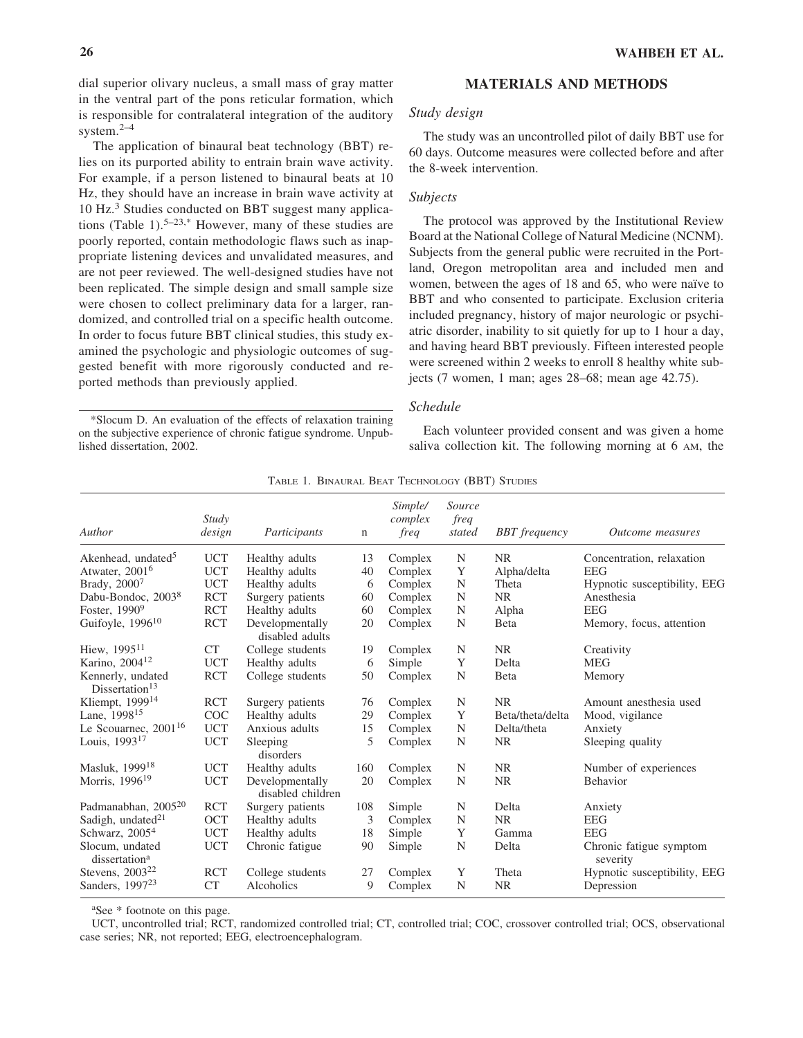dial superior olivary nucleus, a small mass of gray matter in the ventral part of the pons reticular formation, which is responsible for contralateral integration of the auditory system.2–4

The application of binaural beat technology (BBT) relies on its purported ability to entrain brain wave activity. For example, if a person listened to binaural beats at 10 Hz, they should have an increase in brain wave activity at 10 Hz.<sup>3</sup> Studies conducted on BBT suggest many applications (Table 1).<sup>5–23,\*</sup> However, many of these studies are poorly reported, contain methodologic flaws such as inappropriate listening devices and unvalidated measures, and are not peer reviewed. The well-designed studies have not been replicated. The simple design and small sample size were chosen to collect preliminary data for a larger, randomized, and controlled trial on a specific health outcome. In order to focus future BBT clinical studies, this study examined the psychologic and physiologic outcomes of suggested benefit with more rigorously conducted and reported methods than previously applied.

\*Slocum D. An evaluation of the effects of relaxation training on the subjective experience of chronic fatigue syndrome. Unpublished dissertation, 2002.

## **26 WAHBEH ET AL.**

## **MATERIALS AND METHODS**

## *Study design*

The study was an uncontrolled pilot of daily BBT use for 60 days. Outcome measures were collected before and after the 8-week intervention.

## *Subjects*

The protocol was approved by the Institutional Review Board at the National College of Natural Medicine (NCNM). Subjects from the general public were recruited in the Portland, Oregon metropolitan area and included men and women, between the ages of 18 and 65, who were naïve to BBT and who consented to participate. Exclusion criteria included pregnancy, history of major neurologic or psychiatric disorder, inability to sit quietly for up to 1 hour a day, and having heard BBT previously. Fifteen interested people were screened within 2 weeks to enroll 8 healthy white subjects (7 women, 1 man; ages 28–68; mean age 42.75).

### *Schedule*

Each volunteer provided consent and was given a home saliva collection kit. The following morning at 6 AM, the

| Author                                          | Study<br>design | Participants                         | n   | Simple/<br>complex<br>freq | Source<br>freq<br>stated | <b>BBT</b> frequency | <i><b>Outcome measures</b></i>      |
|-------------------------------------------------|-----------------|--------------------------------------|-----|----------------------------|--------------------------|----------------------|-------------------------------------|
| Akenhead, undated <sup>5</sup>                  | <b>UCT</b>      | Healthy adults                       | 13  | Complex                    | N                        | <b>NR</b>            | Concentration, relaxation           |
| Atwater, 2001 <sup>6</sup>                      | <b>UCT</b>      | Healthy adults                       | 40  | Complex                    | Y                        | Alpha/delta          | <b>EEG</b>                          |
| Brady, 20007                                    | <b>UCT</b>      | Healthy adults                       | 6   | Complex                    | N                        | Theta                | Hypnotic susceptibility, EEG        |
| Dabu-Bondoc, 2003 <sup>8</sup>                  | <b>RCT</b>      | Surgery patients                     | 60  | Complex                    | N                        | <b>NR</b>            | Anesthesia                          |
| Foster, 1990 <sup>9</sup>                       | <b>RCT</b>      | Healthy adults                       | 60  | Complex                    | N                        | Alpha                | <b>EEG</b>                          |
| Guifoyle, 1996 <sup>10</sup>                    | <b>RCT</b>      | Developmentally<br>disabled adults   | 20  | Complex                    | N                        | <b>B</b> eta         | Memory, focus, attention            |
| Hiew, 1995 <sup>11</sup>                        | <b>CT</b>       | College students                     | 19  | Complex                    | N                        | <b>NR</b>            | Creativity                          |
| Karino, 2004 <sup>12</sup>                      | <b>UCT</b>      | Healthy adults                       | 6   | Simple                     | Y                        | Delta                | <b>MEG</b>                          |
| Kennerly, undated<br>Dissertation <sup>13</sup> | <b>RCT</b>      | College students                     | 50  | Complex                    | N                        | <b>B</b> eta         | Memory                              |
| Kliempt, 1999 <sup>14</sup>                     | <b>RCT</b>      | Surgery patients                     | 76  | Complex                    | N                        | <b>NR</b>            | Amount anesthesia used              |
| Lane, 1998 <sup>15</sup>                        | COC             | Healthy adults                       | 29  | Complex                    | Y                        | Beta/theta/delta     | Mood, vigilance                     |
| Le Scouarnec, $2001^{16}$                       | <b>UCT</b>      | Anxious adults                       | 15  | Complex                    | N                        | Delta/theta          | Anxiety                             |
| Louis, 1993 <sup>17</sup>                       | <b>UCT</b>      | Sleeping<br>disorders                | 5   | Complex                    | $\mathbf N$              | <b>NR</b>            | Sleeping quality                    |
| Masluk, 1999 <sup>18</sup>                      | <b>UCT</b>      | Healthy adults                       | 160 | Complex                    | N                        | <b>NR</b>            | Number of experiences               |
| Morris, 1996 <sup>19</sup>                      | <b>UCT</b>      | Developmentally<br>disabled children | 20  | Complex                    | N                        | <b>NR</b>            | <b>Behavior</b>                     |
| Padmanabhan, 2005 <sup>20</sup>                 | <b>RCT</b>      | Surgery patients                     | 108 | Simple                     | N                        | Delta                | Anxiety                             |
| Sadigh, undated <sup>21</sup>                   | <b>OCT</b>      | Healthy adults                       | 3   | Complex                    | N                        | NR.                  | <b>EEG</b>                          |
| Schwarz, 2005 <sup>4</sup>                      | <b>UCT</b>      | Healthy adults                       | 18  | Simple                     | Y                        | Gamma                | <b>EEG</b>                          |
| Slocum, undated<br>dissertation <sup>a</sup>    | <b>UCT</b>      | Chronic fatigue                      | 90  | Simple                     | N                        | Delta                | Chronic fatigue symptom<br>severity |
| Stevens, $2003^{22}$                            | <b>RCT</b>      | College students                     | 27  | Complex                    | Y                        | Theta                | Hypnotic susceptibility, EEG        |
| Sanders, 1997 <sup>23</sup>                     | <b>CT</b>       | Alcoholics                           | 9   | Complex                    | N                        | <b>NR</b>            | Depression                          |

|  |  |  | TABLE 1. BINAURAL BEAT TECHNOLOGY (BBT) STUDIES |  |  |
|--|--|--|-------------------------------------------------|--|--|
|--|--|--|-------------------------------------------------|--|--|

a See \* footnote on this page.

UCT, uncontrolled trial; RCT, randomized controlled trial; CT, controlled trial; COC, crossover controlled trial; OCS, observational case series; NR, not reported; EEG, electroencephalogram.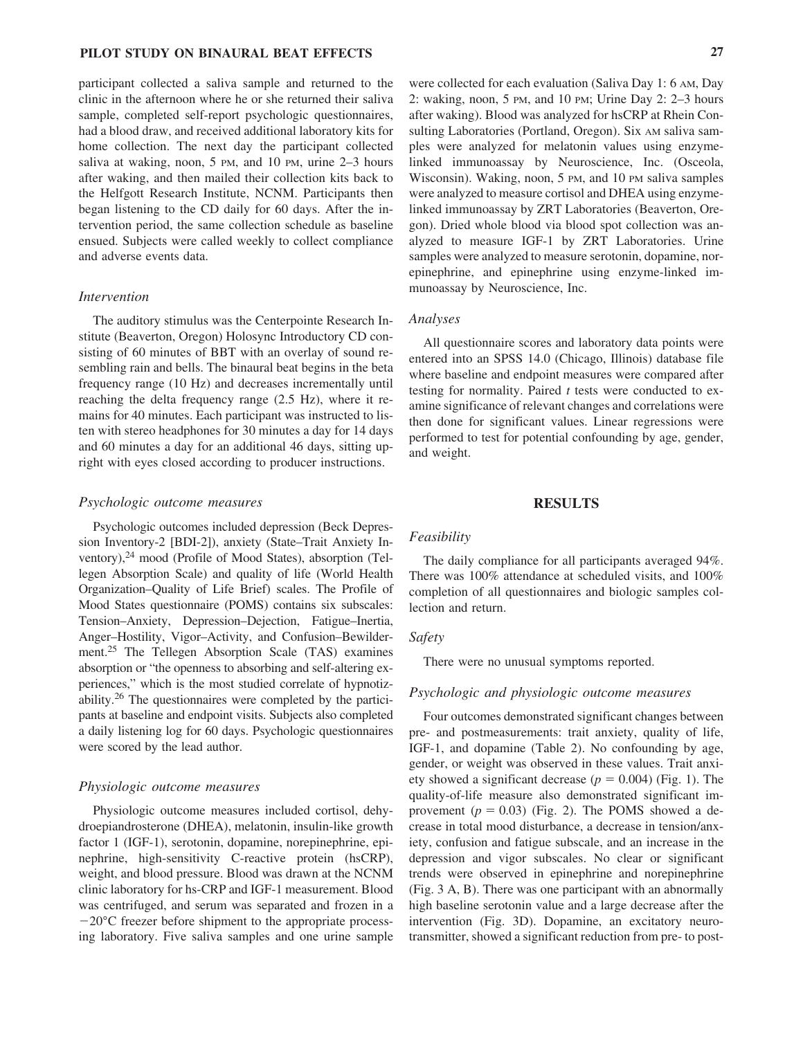## **PILOT STUDY ON BINAURAL BEAT EFFECTS 27**

participant collected a saliva sample and returned to the clinic in the afternoon where he or she returned their saliva sample, completed self-report psychologic questionnaires, had a blood draw, and received additional laboratory kits for home collection. The next day the participant collected saliva at waking, noon, 5 PM, and 10 PM, urine 2–3 hours after waking, and then mailed their collection kits back to the Helfgott Research Institute, NCNM. Participants then began listening to the CD daily for 60 days. After the intervention period, the same collection schedule as baseline ensued. Subjects were called weekly to collect compliance and adverse events data.

#### *Intervention*

The auditory stimulus was the Centerpointe Research Institute (Beaverton, Oregon) Holosync Introductory CD consisting of 60 minutes of BBT with an overlay of sound resembling rain and bells. The binaural beat begins in the beta frequency range (10 Hz) and decreases incrementally until reaching the delta frequency range (2.5 Hz), where it remains for 40 minutes. Each participant was instructed to listen with stereo headphones for 30 minutes a day for 14 days and 60 minutes a day for an additional 46 days, sitting upright with eyes closed according to producer instructions.

#### *Psychologic outcome measures*

Psychologic outcomes included depression (Beck Depression Inventory-2 [BDI-2]), anxiety (State–Trait Anxiety Inventory),<sup>24</sup> mood (Profile of Mood States), absorption (Tellegen Absorption Scale) and quality of life (World Health Organization–Quality of Life Brief) scales. The Profile of Mood States questionnaire (POMS) contains six subscales: Tension–Anxiety, Depression–Dejection, Fatigue–Inertia, Anger–Hostility, Vigor–Activity, and Confusion–Bewilderment.25 The Tellegen Absorption Scale (TAS) examines absorption or "the openness to absorbing and self-altering experiences," which is the most studied correlate of hypnotizability.26 The questionnaires were completed by the participants at baseline and endpoint visits. Subjects also completed a daily listening log for 60 days. Psychologic questionnaires were scored by the lead author.

#### *Physiologic outcome measures*

Physiologic outcome measures included cortisol, dehydroepiandrosterone (DHEA), melatonin, insulin-like growth factor 1 (IGF-1), serotonin, dopamine, norepinephrine, epinephrine, high-sensitivity C-reactive protein (hsCRP), weight, and blood pressure. Blood was drawn at the NCNM clinic laboratory for hs-CRP and IGF-1 measurement. Blood was centrifuged, and serum was separated and frozen in a  $-20^{\circ}$ C freezer before shipment to the appropriate processing laboratory. Five saliva samples and one urine sample

were collected for each evaluation (Saliva Day 1: 6 AM, Day 2: waking, noon, 5 PM, and 10 PM; Urine Day 2: 2–3 hours after waking). Blood was analyzed for hsCRP at Rhein Consulting Laboratories (Portland, Oregon). Six AM saliva samples were analyzed for melatonin values using enzymelinked immunoassay by Neuroscience, Inc. (Osceola, Wisconsin). Waking, noon, 5 PM, and 10 PM saliva samples were analyzed to measure cortisol and DHEA using enzymelinked immunoassay by ZRT Laboratories (Beaverton, Oregon). Dried whole blood via blood spot collection was analyzed to measure IGF-1 by ZRT Laboratories. Urine samples were analyzed to measure serotonin, dopamine, norepinephrine, and epinephrine using enzyme-linked immunoassay by Neuroscience, Inc.

## *Analyses*

All questionnaire scores and laboratory data points were entered into an SPSS 14.0 (Chicago, Illinois) database file where baseline and endpoint measures were compared after testing for normality. Paired *t* tests were conducted to examine significance of relevant changes and correlations were then done for significant values. Linear regressions were performed to test for potential confounding by age, gender, and weight.

## **RESULTS**

#### *Feasibility*

The daily compliance for all participants averaged 94%. There was 100% attendance at scheduled visits, and 100% completion of all questionnaires and biologic samples collection and return.

#### *Safety*

There were no unusual symptoms reported.

#### *Psychologic and physiologic outcome measures*

Four outcomes demonstrated significant changes between pre- and postmeasurements: trait anxiety, quality of life, IGF-1, and dopamine (Table 2). No confounding by age, gender, or weight was observed in these values. Trait anxiety showed a significant decrease  $(p = 0.004)$  (Fig. 1). The quality-of-life measure also demonstrated significant improvement  $(p = 0.03)$  (Fig. 2). The POMS showed a decrease in total mood disturbance, a decrease in tension/anxiety, confusion and fatigue subscale, and an increase in the depression and vigor subscales. No clear or significant trends were observed in epinephrine and norepinephrine (Fig. 3 A, B). There was one participant with an abnormally high baseline serotonin value and a large decrease after the intervention (Fig. 3D). Dopamine, an excitatory neurotransmitter, showed a significant reduction from pre- to post-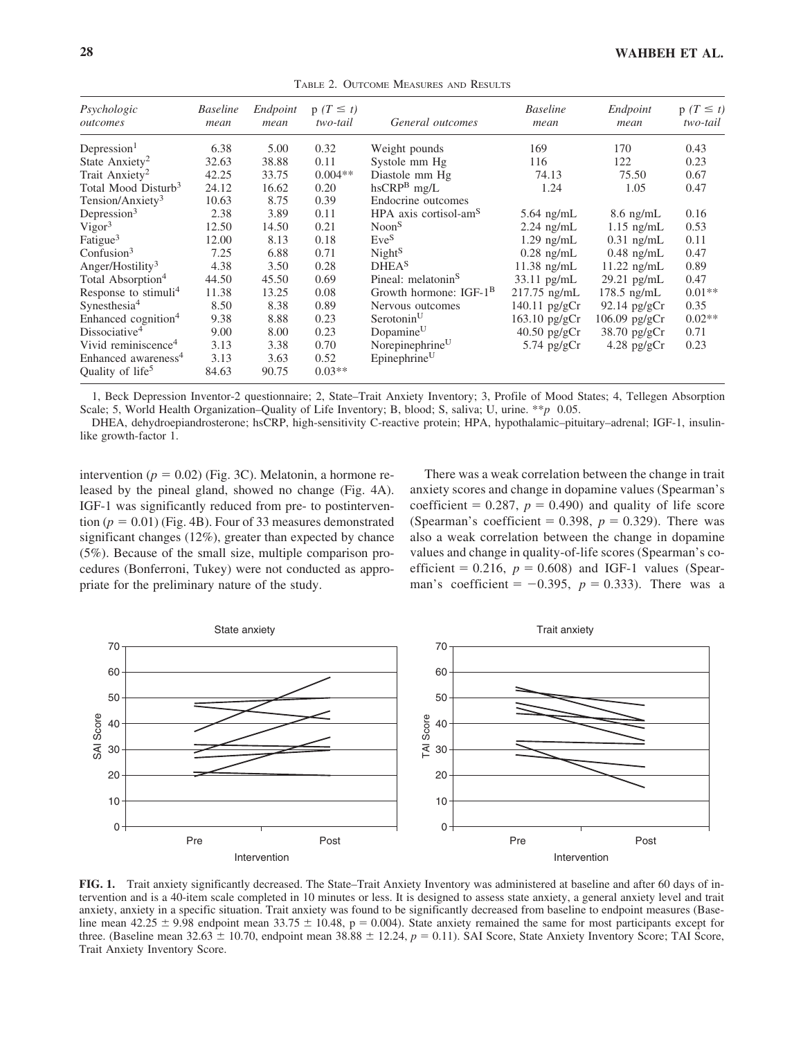| Psychologic<br>outcomes          | <b>Baseline</b><br>mean | Endpoint<br>mean | $p(T \leq t)$<br>two-tail | General outcomes                   | <b>Baseline</b><br>mean | Endpoint<br>mean | $p(T \leq t)$<br>two-tail |
|----------------------------------|-------------------------|------------------|---------------------------|------------------------------------|-------------------------|------------------|---------------------------|
| Depression <sup>1</sup>          | 6.38                    | 5.00             | 0.32                      | Weight pounds                      | 169                     | 170              | 0.43                      |
| State Anxiety <sup>2</sup>       | 32.63                   | 38.88            | 0.11                      | Systole mm Hg                      | 116                     | 122              | 0.23                      |
| Trait Anxiety <sup>2</sup>       | 42.25                   | 33.75            | $0.004**$                 | Diastole mm Hg                     | 74.13                   | 75.50            | 0.67                      |
| Total Mood Disturb <sup>3</sup>  | 24.12                   | 16.62            | 0.20                      | $hsCRPB$ mg/L                      | 1.24                    | 1.05             | 0.47                      |
| Tension/Anxiety <sup>3</sup>     | 10.63                   | 8.75             | 0.39                      | Endocrine outcomes                 |                         |                  |                           |
| Depression $3$                   | 2.38                    | 3.89             | 0.11                      | HPA axis cortisol-am <sup>S</sup>  | $5.64$ ng/mL            | $8.6$ ng/mL      | 0.16                      |
| Vigor <sup>3</sup>               | 12.50                   | 14.50            | 0.21                      | Noon <sup>S</sup>                  | $2.24$ ng/mL            | $1.15$ ng/mL     | 0.53                      |
| Fatigue <sup>3</sup>             | 12.00                   | 8.13             | 0.18                      | $Eve^{S}$                          | $1.29$ ng/mL            | $0.31$ ng/mL     | 0.11                      |
| Confusion <sup>3</sup>           | 7.25                    | 6.88             | 0.71                      | Night <sup>S</sup>                 | $0.28$ ng/mL            | $0.48$ ng/mL     | 0.47                      |
| Anger/Hostility <sup>3</sup>     | 4.38                    | 3.50             | 0.28                      | <b>DHEA</b> <sup>S</sup>           | $11.38$ ng/mL           | $11.22$ ng/mL    | 0.89                      |
| Total Absorption <sup>4</sup>    | 44.50                   | 45.50            | 0.69                      | Pineal: melatonin <sup>S</sup>     | $33.11$ pg/mL           | $29.21$ pg/mL    | 0.47                      |
| Response to stimuli <sup>4</sup> | 11.38                   | 13.25            | 0.08                      | Growth hormone: IGF-1 <sup>B</sup> | $217.75$ ng/mL          | $178.5$ ng/mL    | $0.01**$                  |
| Synesthesia <sup>4</sup>         | 8.50                    | 8.38             | 0.89                      | Nervous outcomes                   | $140.11$ pg/gCr         | $92.14$ pg/gCr   | 0.35                      |
| Enhanced cognition <sup>4</sup>  | 9.38                    | 8.88             | 0.23                      | Serotonin <sup>U</sup>             | 163.10 pg/gCr           | 106.09 pg/gCr    | $0.02**$                  |
| Dissociative <sup>4</sup>        | 9.00                    | 8.00             | 0.23                      | Dopamine <sup>U</sup>              | $40.50$ pg/gCr          | 38.70 pg/gCr     | 0.71                      |
| Vivid reminiscence <sup>4</sup>  | 3.13                    | 3.38             | 0.70                      | Norepinephrine <sup>U</sup>        | $5.74$ pg/gCr           | $4.28$ pg/gCr    | 0.23                      |
| Enhanced awareness <sup>4</sup>  | 3.13                    | 3.63             | 0.52                      | Epinephrine <sup>U</sup>           |                         |                  |                           |
| Quality of life <sup>5</sup>     | 84.63                   | 90.75            | $0.03**$                  |                                    |                         |                  |                           |

TABLE 2. OUTCOME MEASURES AND RESULTS

1, Beck Depression Inventor-2 questionnaire; 2, State–Trait Anxiety Inventory; 3, Profile of Mood States; 4, Tellegen Absorption Scale; 5, World Health Organization–Quality of Life Inventory; B, blood; S, saliva; U, urine. \*\**p* 0.05.

DHEA, dehydroepiandrosterone; hsCRP, high-sensitivity C-reactive protein; HPA, hypothalamic–pituitary–adrenal; IGF-1, insulinlike growth-factor 1.

intervention  $(p = 0.02)$  (Fig. 3C). Melatonin, a hormone released by the pineal gland, showed no change (Fig. 4A). IGF-1 was significantly reduced from pre- to postintervention  $(p = 0.01)$  (Fig. 4B). Four of 33 measures demonstrated significant changes (12%), greater than expected by chance (5%). Because of the small size, multiple comparison procedures (Bonferroni, Tukey) were not conducted as appropriate for the preliminary nature of the study.

There was a weak correlation between the change in trait anxiety scores and change in dopamine values (Spearman's coefficient =  $0.287$ ,  $p = 0.490$ ) and quality of life score (Spearman's coefficient = 0.398,  $p = 0.329$ ). There was also a weak correlation between the change in dopamine values and change in quality-of-life scores (Spearman's coefficient =  $0.216$ ,  $p = 0.608$ ) and IGF-1 values (Spearman's coefficient =  $-0.395$ ,  $p = 0.333$ ). There was a



**FIG. 1.** Trait anxiety significantly decreased. The State–Trait Anxiety Inventory was administered at baseline and after 60 days of intervention and is a 40-item scale completed in 10 minutes or less. It is designed to assess state anxiety, a general anxiety level and trait anxiety, anxiety in a specific situation. Trait anxiety was found to be significantly decreased from baseline to endpoint measures (Baseline mean  $42.25 \pm 9.98$  endpoint mean  $33.75 \pm 10.48$ ,  $p = 0.004$ ). State anxiety remained the same for most participants except for three. (Baseline mean 32.63  $\pm$  10.70, endpoint mean 38.88  $\pm$  12.24,  $p = 0.11$ ). SAI Score, State Anxiety Inventory Score; TAI Score, Trait Anxiety Inventory Score.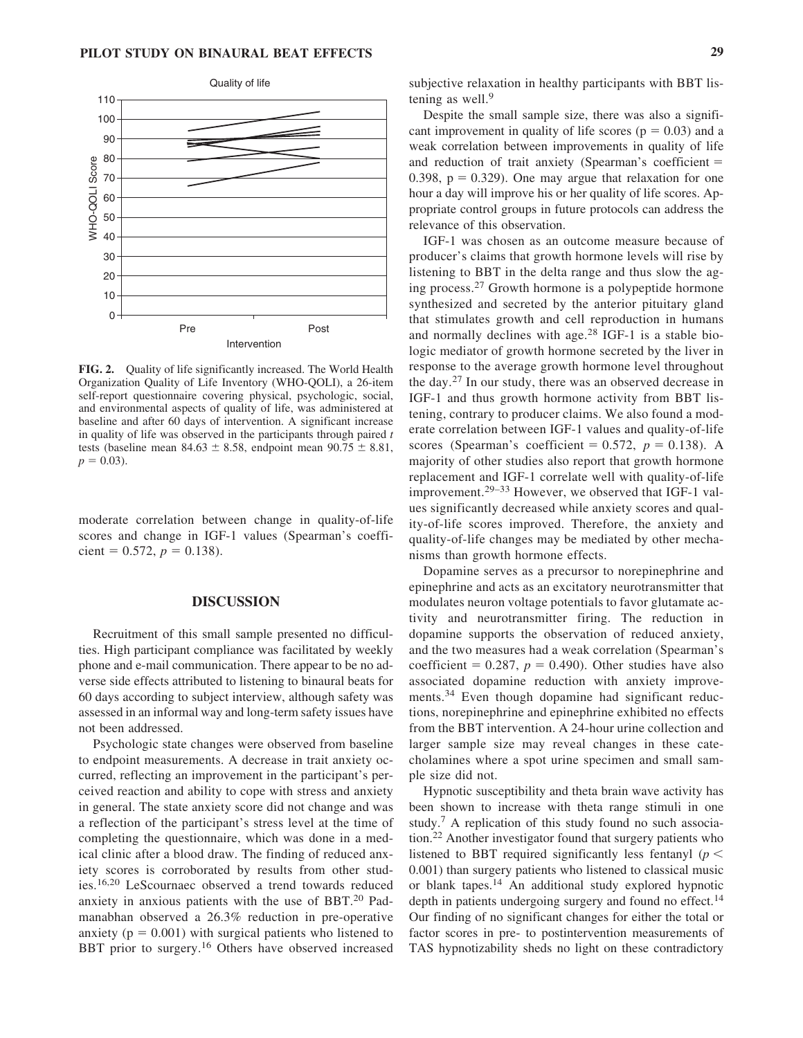

**FIG. 2.** Quality of life significantly increased. The World Health Organization Quality of Life Inventory (WHO-QOLI), a 26-item self-report questionnaire covering physical, psychologic, social, and environmental aspects of quality of life, was administered at baseline and after 60 days of intervention. A significant increase in quality of life was observed in the participants through paired *t* tests (baseline mean  $84.63 \pm 8.58$ , endpoint mean  $90.75 \pm 8.81$ ,  $p = 0.03$ ).

moderate correlation between change in quality-of-life scores and change in IGF-1 values (Spearman's coefficient =  $0.572$ ,  $p = 0.138$ ).

#### **DISCUSSION**

Recruitment of this small sample presented no difficulties. High participant compliance was facilitated by weekly phone and e-mail communication. There appear to be no adverse side effects attributed to listening to binaural beats for 60 days according to subject interview, although safety was assessed in an informal way and long-term safety issues have not been addressed.

Psychologic state changes were observed from baseline to endpoint measurements. A decrease in trait anxiety occurred, reflecting an improvement in the participant's perceived reaction and ability to cope with stress and anxiety in general. The state anxiety score did not change and was a reflection of the participant's stress level at the time of completing the questionnaire, which was done in a medical clinic after a blood draw. The finding of reduced anxiety scores is corroborated by results from other studies.16,20 LeScournaec observed a trend towards reduced anxiety in anxious patients with the use of BBT.<sup>20</sup> Padmanabhan observed a 26.3% reduction in pre-operative anxiety ( $p = 0.001$ ) with surgical patients who listened to BBT prior to surgery.<sup>16</sup> Others have observed increased subjective relaxation in healthy participants with BBT listening as well. $9$ 

Despite the small sample size, there was also a significant improvement in quality of life scores ( $p = 0.03$ ) and a weak correlation between improvements in quality of life and reduction of trait anxiety (Spearman's coefficient  $=$  $0.398$ ,  $p = 0.329$ ). One may argue that relaxation for one hour a day will improve his or her quality of life scores. Appropriate control groups in future protocols can address the relevance of this observation.

IGF-1 was chosen as an outcome measure because of producer's claims that growth hormone levels will rise by listening to BBT in the delta range and thus slow the aging process.<sup>27</sup> Growth hormone is a polypeptide hormone synthesized and secreted by the anterior pituitary gland that stimulates growth and cell reproduction in humans and normally declines with age. $28$  IGF-1 is a stable biologic mediator of growth hormone secreted by the liver in response to the average growth hormone level throughout the day.<sup>27</sup> In our study, there was an observed decrease in IGF-1 and thus growth hormone activity from BBT listening, contrary to producer claims. We also found a moderate correlation between IGF-1 values and quality-of-life scores (Spearman's coefficient =  $0.572$ ,  $p = 0.138$ ). A majority of other studies also report that growth hormone replacement and IGF-1 correlate well with quality-of-life improvement.<sup>29–33</sup> However, we observed that IGF-1 values significantly decreased while anxiety scores and quality-of-life scores improved. Therefore, the anxiety and quality-of-life changes may be mediated by other mechanisms than growth hormone effects.

Dopamine serves as a precursor to norepinephrine and epinephrine and acts as an excitatory neurotransmitter that modulates neuron voltage potentials to favor glutamate activity and neurotransmitter firing. The reduction in dopamine supports the observation of reduced anxiety, and the two measures had a weak correlation (Spearman's coefficient =  $0.287$ ,  $p = 0.490$ ). Other studies have also associated dopamine reduction with anxiety improvements.<sup>34</sup> Even though dopamine had significant reductions, norepinephrine and epinephrine exhibited no effects from the BBT intervention. A 24-hour urine collection and larger sample size may reveal changes in these catecholamines where a spot urine specimen and small sample size did not.

Hypnotic susceptibility and theta brain wave activity has been shown to increase with theta range stimuli in one study.<sup>7</sup> A replication of this study found no such association.<sup>22</sup> Another investigator found that surgery patients who listened to BBT required significantly less fentanyl ( $p <$ 0.001) than surgery patients who listened to classical music or blank tapes.<sup>14</sup> An additional study explored hypnotic depth in patients undergoing surgery and found no effect.<sup>14</sup> Our finding of no significant changes for either the total or factor scores in pre- to postintervention measurements of TAS hypnotizability sheds no light on these contradictory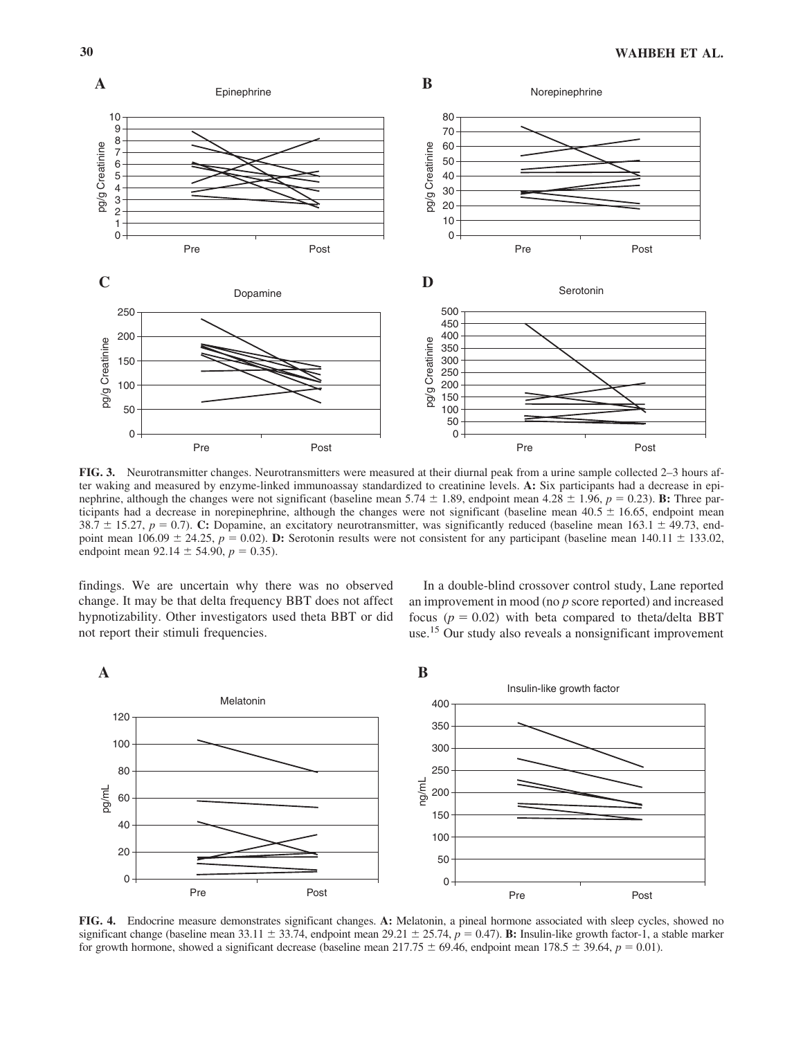

**FIG. 3.** Neurotransmitter changes. Neurotransmitters were measured at their diurnal peak from a urine sample collected 2–3 hours after waking and measured by enzyme-linked immunoassay standardized to creatinine levels. **A:** Six participants had a decrease in epinephrine, although the changes were not significant (baseline mean  $5.74 \pm 1.89$ , endpoint mean  $4.28 \pm 1.96$ ,  $p = 0.23$ ). **B:** Three participants had a decrease in norepinephrine, although the changes were not significant (baseline mean  $40.5 \pm 16.65$ , endpoint mean 38.7  $\pm$  15.27,  $p = 0.7$ ). **C:** Dopamine, an excitatory neurotransmitter, was significantly reduced (baseline mean 163.1  $\pm$  49.73, endpoint mean  $106.09 \pm 24.25$ ,  $p = 0.02$ ). **D:** Serotonin results were not consistent for any participant (baseline mean  $140.11 \pm 133.02$ , endpoint mean  $92.14 \pm 54.90$ ,  $p = 0.35$ ).

findings. We are uncertain why there was no observed change. It may be that delta frequency BBT does not affect hypnotizability. Other investigators used theta BBT or did not report their stimuli frequencies.

In a double-blind crossover control study, Lane reported an improvement in mood (no *p* score reported) and increased focus  $(p = 0.02)$  with beta compared to theta/delta BBT use.15 Our study also reveals a nonsignificant improvement



**FIG. 4.** Endocrine measure demonstrates significant changes. **A:** Melatonin, a pineal hormone associated with sleep cycles, showed no significant change (baseline mean  $33.11 \pm 33.74$ , endpoint mean  $29.21 \pm 25.74$ ,  $p = 0.47$ ). **B:** Insulin-like growth factor-1, a stable marker for growth hormone, showed a significant decrease (baseline mean  $217.75 \pm 69.46$ , endpoint mean  $178.5 \pm 39.64$ ,  $p = 0.01$ ).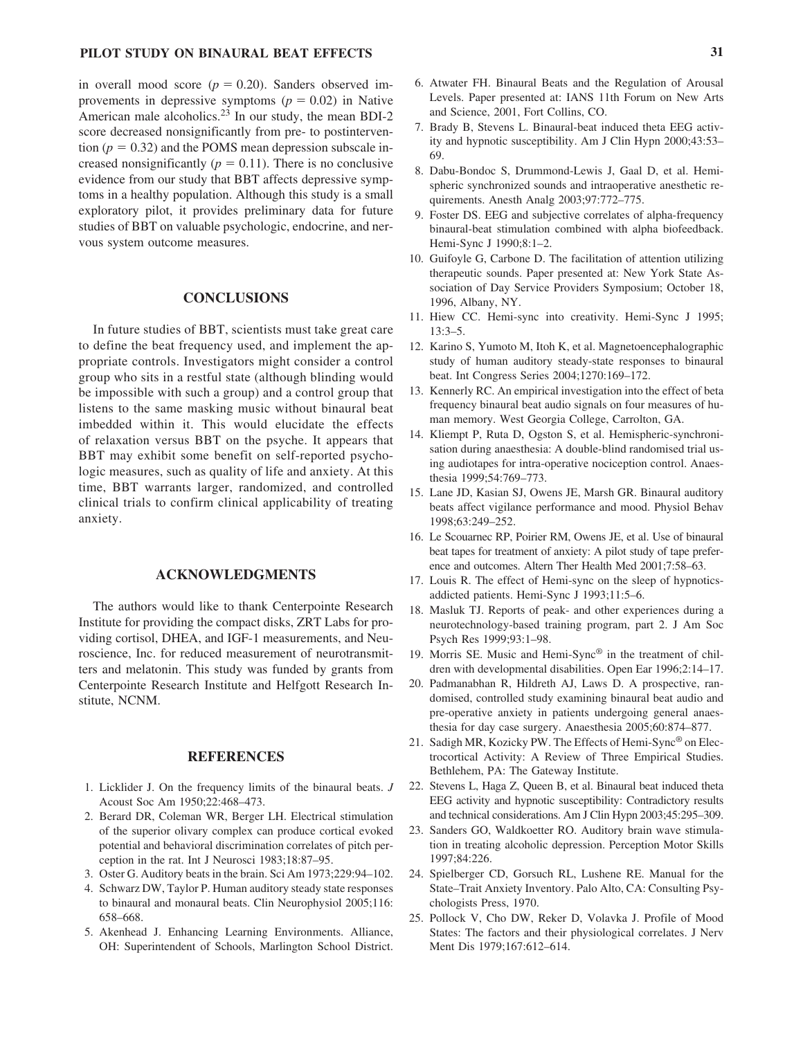in overall mood score  $(p = 0.20)$ . Sanders observed improvements in depressive symptoms  $(p = 0.02)$  in Native American male alcoholics.23 In our study, the mean BDI-2 score decreased nonsignificantly from pre- to postinterven- $\text{tion } (p = 0.32)$  and the POMS mean depression subscale increased nonsignificantly ( $p = 0.11$ ). There is no conclusive evidence from our study that BBT affects depressive symptoms in a healthy population. Although this study is a small exploratory pilot, it provides preliminary data for future studies of BBT on valuable psychologic, endocrine, and nervous system outcome measures.

## **CONCLUSIONS**

In future studies of BBT, scientists must take great care to define the beat frequency used, and implement the appropriate controls. Investigators might consider a control group who sits in a restful state (although blinding would be impossible with such a group) and a control group that listens to the same masking music without binaural beat imbedded within it. This would elucidate the effects of relaxation versus BBT on the psyche. It appears that BBT may exhibit some benefit on self-reported psychologic measures, such as quality of life and anxiety. At this time, BBT warrants larger, randomized, and controlled clinical trials to confirm clinical applicability of treating anxiety.

#### **ACKNOWLEDGMENTS**

The authors would like to thank Centerpointe Research Institute for providing the compact disks, ZRT Labs for providing cortisol, DHEA, and IGF-1 measurements, and Neuroscience, Inc. for reduced measurement of neurotransmitters and melatonin. This study was funded by grants from Centerpointe Research Institute and Helfgott Research Institute, NCNM.

## **REFERENCES**

- 1. Licklider J. On the frequency limits of the binaural beats. *J* Acoust Soc Am 1950;22:468–473.
- 2. Berard DR, Coleman WR, Berger LH. Electrical stimulation of the superior olivary complex can produce cortical evoked potential and behavioral discrimination correlates of pitch perception in the rat. Int J Neurosci 1983;18:87–95.
- 3. Oster G. Auditory beats in the brain. Sci Am 1973;229:94–102.
- 4. Schwarz DW, Taylor P. Human auditory steady state responses to binaural and monaural beats. Clin Neurophysiol 2005;116: 658–668.
- 5. Akenhead J. Enhancing Learning Environments. Alliance, OH: Superintendent of Schools, Marlington School District.
- 6. Atwater FH. Binaural Beats and the Regulation of Arousal Levels. Paper presented at: IANS 11th Forum on New Arts and Science, 2001, Fort Collins, CO.
- 7. Brady B, Stevens L. Binaural-beat induced theta EEG activity and hypnotic susceptibility. Am J Clin Hypn 2000;43:53– 69.
- 8. Dabu-Bondoc S, Drummond-Lewis J, Gaal D, et al. Hemispheric synchronized sounds and intraoperative anesthetic requirements. Anesth Analg 2003;97:772–775.
- 9. Foster DS. EEG and subjective correlates of alpha-frequency binaural-beat stimulation combined with alpha biofeedback. Hemi-Sync J 1990;8:1–2.
- 10. Guifoyle G, Carbone D. The facilitation of attention utilizing therapeutic sounds. Paper presented at: New York State Association of Day Service Providers Symposium; October 18, 1996, Albany, NY.
- 11. Hiew CC. Hemi-sync into creativity. Hemi-Sync J 1995; 13:3–5.
- 12. Karino S, Yumoto M, Itoh K, et al. Magnetoencephalographic study of human auditory steady-state responses to binaural beat. Int Congress Series 2004;1270:169–172.
- 13. Kennerly RC. An empirical investigation into the effect of beta frequency binaural beat audio signals on four measures of human memory. West Georgia College, Carrolton, GA.
- 14. Kliempt P, Ruta D, Ogston S, et al. Hemispheric-synchronisation during anaesthesia: A double-blind randomised trial using audiotapes for intra-operative nociception control. Anaesthesia 1999;54:769–773.
- 15. Lane JD, Kasian SJ, Owens JE, Marsh GR. Binaural auditory beats affect vigilance performance and mood. Physiol Behav 1998;63:249–252.
- 16. Le Scouarnec RP, Poirier RM, Owens JE, et al. Use of binaural beat tapes for treatment of anxiety: A pilot study of tape preference and outcomes. Altern Ther Health Med 2001;7:58–63.
- 17. Louis R. The effect of Hemi-sync on the sleep of hypnoticsaddicted patients. Hemi-Sync J 1993;11:5–6.
- 18. Masluk TJ. Reports of peak- and other experiences during a neurotechnology-based training program, part 2. J Am Soc Psych Res 1999;93:1–98.
- 19. Morris SE. Music and Hemi-Sync® in the treatment of children with developmental disabilities. Open Ear 1996;2:14–17.
- 20. Padmanabhan R, Hildreth AJ, Laws D. A prospective, randomised, controlled study examining binaural beat audio and pre-operative anxiety in patients undergoing general anaesthesia for day case surgery. Anaesthesia 2005;60:874–877.
- 21. Sadigh MR, Kozicky PW. The Effects of Hemi-Sync® on Electrocortical Activity: A Review of Three Empirical Studies. Bethlehem, PA: The Gateway Institute.
- 22. Stevens L, Haga Z, Queen B, et al. Binaural beat induced theta EEG activity and hypnotic susceptibility: Contradictory results and technical considerations. Am J Clin Hypn 2003;45:295–309.
- 23. Sanders GO, Waldkoetter RO. Auditory brain wave stimulation in treating alcoholic depression. Perception Motor Skills 1997;84:226.
- 24. Spielberger CD, Gorsuch RL, Lushene RE. Manual for the State–Trait Anxiety Inventory. Palo Alto, CA: Consulting Psychologists Press, 1970.
- 25. Pollock V, Cho DW, Reker D, Volavka J. Profile of Mood States: The factors and their physiological correlates. J Nerv Ment Dis 1979;167:612–614.